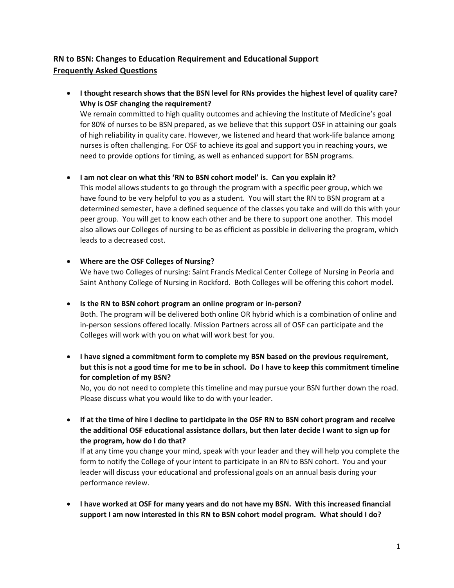## **RN to BSN: Changes to Education Requirement and Educational Support Frequently Asked Questions**

• **I thought research shows that the BSN level for RNs provides the highest level of quality care? Why is OSF changing the requirement?** 

We remain committed to high quality outcomes and achieving the Institute of Medicine's goal for 80% of nurses to be BSN prepared, as we believe that this support OSF in attaining our goals of high reliability in quality care. However, we listened and heard that work-life balance among nurses is often challenging. For OSF to achieve its goal and support you in reaching yours, we need to provide options for timing, as well as enhanced support for BSN programs.

## • **I am not clear on what this 'RN to BSN cohort model' is. Can you explain it?**

This model allows students to go through the program with a specific peer group, which we have found to be very helpful to you as a student. You will start the RN to BSN program at a determined semester, have a defined sequence of the classes you take and will do this with your peer group. You will get to know each other and be there to support one another. This model also allows our Colleges of nursing to be as efficient as possible in delivering the program, which leads to a decreased cost.

## • **Where are the OSF Colleges of Nursing?**

We have two Colleges of nursing: Saint Francis Medical Center College of Nursing in Peoria and Saint Anthony College of Nursing in Rockford. Both Colleges will be offering this cohort model.

## • **Is the RN to BSN cohort program an online program or in-person?**

Both. The program will be delivered both online OR hybrid which is a combination of online and in-person sessions offered locally. Mission Partners across all of OSF can participate and the Colleges will work with you on what will work best for you.

• **I have signed a commitment form to complete my BSN based on the previous requirement, but this is not a good time for me to be in school. Do I have to keep this commitment timeline for completion of my BSN?** 

No, you do not need to complete this timeline and may pursue your BSN further down the road. Please discuss what you would like to do with your leader.

• **If at the time of hire I decline to participate in the OSF RN to BSN cohort program and receive the additional OSF educational assistance dollars, but then later decide I want to sign up for the program, how do I do that?** 

If at any time you change your mind, speak with your leader and they will help you complete the form to notify the College of your intent to participate in an RN to BSN cohort. You and your leader will discuss your educational and professional goals on an annual basis during your performance review.

• **I have worked at OSF for many years and do not have my BSN. With this increased financial support I am now interested in this RN to BSN cohort model program. What should I do?**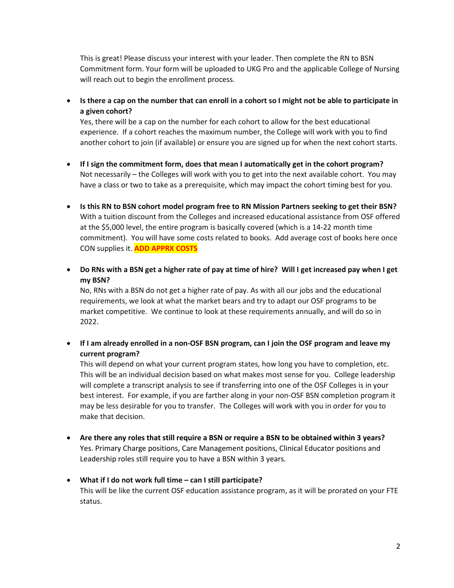This is great! Please discuss your interest with your leader. Then complete the RN to BSN Commitment form. Your form will be uploaded to UKG Pro and the applicable College of Nursing will reach out to begin the enrollment process.

• **Is there a cap on the number that can enroll in a cohort so I might not be able to participate in a given cohort?** 

Yes, there will be a cap on the number for each cohort to allow for the best educational experience. If a cohort reaches the maximum number, the College will work with you to find another cohort to join (if available) or ensure you are signed up for when the next cohort starts.

- **If I sign the commitment form, does that mean I automatically get in the cohort program?**  Not necessarily – the Colleges will work with you to get into the next available cohort. You may have a class or two to take as a prerequisite, which may impact the cohort timing best for you.
- **Is this RN to BSN cohort model program free to RN Mission Partners seeking to get their BSN?** With a tuition discount from the Colleges and increased educational assistance from OSF offered at the \$5,000 level, the entire program is basically covered (which is a 14-22 month time commitment). You will have some costs related to books. Add average cost of books here once CON supplies it. **ADD APPRX COSTS**
- **Do RNs with a BSN get a higher rate of pay at time of hire? Will I get increased pay when I get my BSN?**

No, RNs with a BSN do not get a higher rate of pay. As with all our jobs and the educational requirements, we look at what the market bears and try to adapt our OSF programs to be market competitive. We continue to look at these requirements annually, and will do so in 2022.

• **If I am already enrolled in a non-OSF BSN program, can I join the OSF program and leave my current program?** 

This will depend on what your current program states, how long you have to completion, etc. This will be an individual decision based on what makes most sense for you. College leadership will complete a transcript analysis to see if transferring into one of the OSF Colleges is in your best interest. For example, if you are farther along in your non-OSF BSN completion program it may be less desirable for you to transfer. The Colleges will work with you in order for you to make that decision.

- **Are there any roles that still require a BSN or require a BSN to be obtained within 3 years?**  Yes. Primary Charge positions, Care Management positions, Clinical Educator positions and Leadership roles still require you to have a BSN within 3 years.
- **What if I do not work full time – can I still participate?**  This will be like the current OSF education assistance program, as it will be prorated on your FTE status.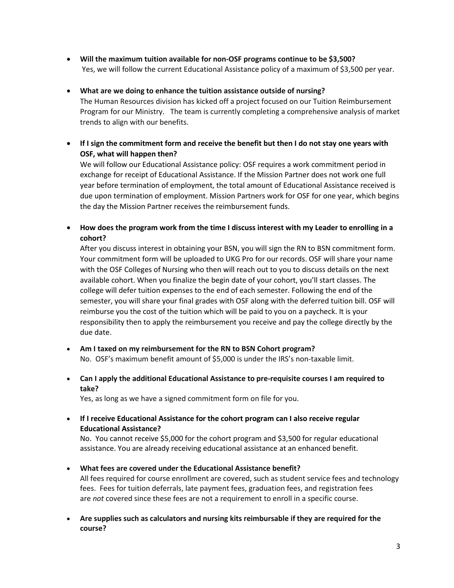- **Will the maximum tuition available for non-OSF programs continue to be \$3,500?**  Yes, we will follow the current Educational Assistance policy of a maximum of \$3,500 per year.
- **What are we doing to enhance the tuition assistance outside of nursing?**  The Human Resources division has kicked off a project focused on our Tuition Reimbursement Program for our Ministry. The team is currently completing a comprehensive analysis of market trends to align with our benefits.
- **If I sign the commitment form and receive the benefit but then I do not stay one years with OSF, what will happen then?**

We will follow our Educational Assistance policy: OSF requires a work commitment period in exchange for receipt of Educational Assistance. If the Mission Partner does not work one full year before termination of employment, the total amount of Educational Assistance received is due upon termination of employment. Mission Partners work for OSF for one year, which begins the day the Mission Partner receives the reimbursement funds.

• **How does the program work from the time I discuss interest with my Leader to enrolling in a cohort?**

After you discuss interest in obtaining your BSN, you will sign the RN to BSN commitment form. Your commitment form will be uploaded to UKG Pro for our records. OSF will share your name with the OSF Colleges of Nursing who then will reach out to you to discuss details on the next available cohort. When you finalize the begin date of your cohort, you'll start classes. The college will defer tuition expenses to the end of each semester. Following the end of the semester, you will share your final grades with OSF along with the deferred tuition bill. OSF will reimburse you the cost of the tuition which will be paid to you on a paycheck. It is your responsibility then to apply the reimbursement you receive and pay the college directly by the due date.

- **Am I taxed on my reimbursement for the RN to BSN Cohort program?** No. OSF's maximum benefit amount of \$5,000 is under the IRS's non-taxable limit.
- **Can I apply the additional Educational Assistance to pre-requisite courses I am required to take?**

Yes, as long as we have a signed commitment form on file for you.

• **If I receive Educational Assistance for the cohort program can I also receive regular Educational Assistance?**

No. You cannot receive \$5,000 for the cohort program and \$3,500 for regular educational assistance. You are already receiving educational assistance at an enhanced benefit.

- **What fees are covered under the Educational Assistance benefit?** All fees required for course enrollment are covered, such as student service fees and technology fees. Fees for tuition deferrals, late payment fees, graduation fees, and registration fees are *not* covered since these fees are not a requirement to enroll in a specific course.
- **Are supplies such as calculators and nursing kits reimbursable if they are required for the course?**